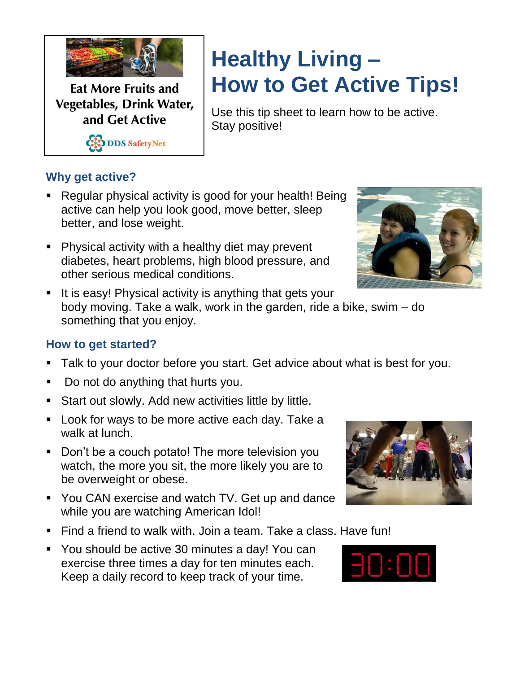

**Eat More Fruits and Vegetables, Drink Water,** and Get Active

CODDS SafetyNet

## **Healthy Living – How to Get Active Tips!**

Use this tip sheet to learn how to be active. Stay positive!

## **Why get active?**

- Regular physical activity is good for your health! Being active can help you look good, move better, sleep better, and lose weight.
- Physical activity with a healthy diet may prevent diabetes, heart problems, high blood pressure, and other serious medical conditions.



It is easy! Physical activity is anything that gets your body moving. Take a walk, work in the garden, ride a bike, swim – do something that you enjoy.

## **How to get started?**

- Talk to your doctor before you start. Get advice about what is best for you.
- Do not do anything that hurts you.
- **Start out slowly. Add new activities little by little.**
- Look for ways to be more active each day. Take a walk at lunch.
- Don't be a couch potato! The more television you watch, the more you sit, the more likely you are to be overweight or obese.
- You CAN exercise and watch TV. Get up and dance while you are watching American Idol!
- Find a friend to walk with. Join a team. Take a class. Have fun!
- You should be active 30 minutes a day! You can exercise three times a day for ten minutes each. Keep a daily record to keep track of your time.